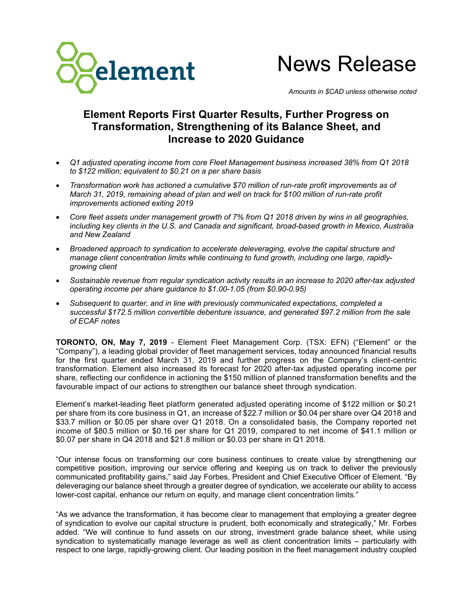

News Release

*Amounts in \$CAD unless otherwise noted*

# **Element Reports First Quarter Results, Further Progress on Transformation, Strengthening of its Balance Sheet, and Increase to 2020 Guidance**

- *Q1 adjusted operating income from core Fleet Management business increased 38% from Q1 2018 to \$122 million; equivalent to \$0.21 on a per share basis*
- *Transformation work has actioned a cumulative \$70 million of run-rate profit improvements as of March 31, 2019, remaining ahead of plan and well on track for \$100 million of run-rate profit improvements actioned exiting 2019*
- *Core fleet assets under management growth of 7% from Q1 2018 driven by wins in all geographies, including key clients in the U.S. and Canada and significant, broad-based growth in Mexico, Australia and New Zealand*
- *Broadened approach to syndication to accelerate deleveraging, evolve the capital structure and manage client concentration limits while continuing to fund growth, including one large, rapidlygrowing client*
- *Sustainable revenue from regular syndication activity results in an increase to 2020 after-tax adjusted operating income per share guidance to \$1.00-1.05 (from \$0.90-0.95)*
- *Subsequent to quarter, and in line with previously communicated expectations, completed a successful \$172.5 million convertible debenture issuance, and generated \$97.2 million from the sale of ECAF notes*

**TORONTO, ON, May 7, 2019** - Element Fleet Management Corp. (TSX: EFN) ("Element" or the "Company"), a leading global provider of fleet management services, today announced financial results for the first quarter ended March 31, 2019 and further progress on the Company's client-centric transformation. Element also increased its forecast for 2020 after-tax adjusted operating income per share, reflecting our confidence in actioning the \$150 million of planned transformation benefits and the favourable impact of our actions to strengthen our balance sheet through syndication.

Element's market-leading fleet platform generated adjusted operating income of \$122 million or \$0.21 per share from its core business in Q1, an increase of \$22.7 million or \$0.04 per share over Q4 2018 and \$33.7 million or \$0.05 per share over Q1 2018. On a consolidated basis, the Company reported net income of \$80.5 million or \$0.16 per share for Q1 2019, compared to net income of \$41.1 million or \$0.07 per share in Q4 2018 and \$21.8 million or \$0.03 per share in Q1 2018.

"Our intense focus on transforming our core business continues to create value by strengthening our competitive position, improving our service offering and keeping us on track to deliver the previously communicated profitability gains," said Jay Forbes, President and Chief Executive Officer of Element. "By deleveraging our balance sheet through a greater degree of syndication, we accelerate our ability to access lower-cost capital, enhance our return on equity, and manage client concentration limits."

"As we advance the transformation, it has become clear to management that employing a greater degree of syndication to evolve our capital structure is prudent, both economically and strategically," Mr. Forbes added. "We will continue to fund assets on our strong, investment grade balance sheet, while using syndication to systematically manage leverage as well as client concentration limits – particularly with respect to one large, rapidly-growing client. Our leading position in the fleet management industry coupled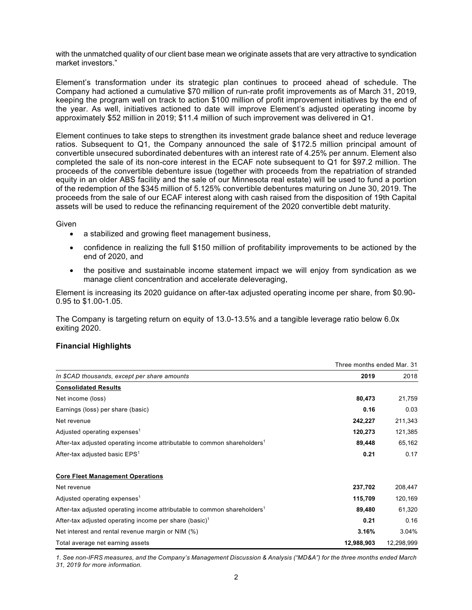with the unmatched quality of our client base mean we originate assets that are very attractive to syndication market investors."

Element's transformation under its strategic plan continues to proceed ahead of schedule. The Company had actioned a cumulative \$70 million of run-rate profit improvements as of March 31, 2019, keeping the program well on track to action \$100 million of profit improvement initiatives by the end of the year. As well, initiatives actioned to date will improve Element's adjusted operating income by approximately \$52 million in 2019; \$11.4 million of such improvement was delivered in Q1.

Element continues to take steps to strengthen its investment grade balance sheet and reduce leverage ratios. Subsequent to Q1, the Company announced the sale of \$172.5 million principal amount of convertible unsecured subordinated debentures with an interest rate of 4.25% per annum. Element also completed the sale of its non-core interest in the ECAF note subsequent to Q1 for \$97.2 million. The proceeds of the convertible debenture issue (together with proceeds from the repatriation of stranded equity in an older ABS facility and the sale of our Minnesota real estate) will be used to fund a portion of the redemption of the \$345 million of 5.125% convertible debentures maturing on June 30, 2019. The proceeds from the sale of our ECAF interest along with cash raised from the disposition of 19th Capital assets will be used to reduce the refinancing requirement of the 2020 convertible debt maturity.

**Given** 

- a stabilized and growing fleet management business,
- confidence in realizing the full \$150 million of profitability improvements to be actioned by the end of 2020, and
- the positive and sustainable income statement impact we will enjoy from syndication as we manage client concentration and accelerate deleveraging,

Element is increasing its 2020 guidance on after-tax adjusted operating income per share, from \$0.90- 0.95 to \$1.00-1.05.

The Company is targeting return on equity of 13.0-13.5% and a tangible leverage ratio below 6.0x exiting 2020.

# **Financial Highlights**

|                                                                                      | Three months ended Mar. 31 |            |
|--------------------------------------------------------------------------------------|----------------------------|------------|
| In \$CAD thousands, except per share amounts                                         | 2019                       | 2018       |
| <b>Consolidated Results</b>                                                          |                            |            |
| Net income (loss)                                                                    | 80,473                     | 21,759     |
| Earnings (loss) per share (basic)                                                    | 0.16                       | 0.03       |
| Net revenue                                                                          | 242,227                    | 211,343    |
| Adjusted operating expenses <sup>1</sup>                                             | 120,273                    | 121,385    |
| After-tax adjusted operating income attributable to common shareholders <sup>1</sup> | 89,448                     | 65,162     |
| After-tax adjusted basic EPS <sup>1</sup>                                            | 0.21                       | 0.17       |
| <b>Core Fleet Management Operations</b>                                              |                            |            |
| Net revenue                                                                          | 237,702                    | 208,447    |
| Adjusted operating expenses <sup>1</sup>                                             | 115,709                    | 120,169    |
| After-tax adjusted operating income attributable to common shareholders <sup>1</sup> | 89,480                     | 61,320     |
| After-tax adjusted operating income per share (basic) <sup>1</sup>                   | 0.21                       | 0.16       |
| Net interest and rental revenue margin or NIM (%)                                    | 3.16%                      | 3.04%      |
| Total average net earning assets                                                     | 12,988,903                 | 12,298,999 |

*1. See non-IFRS measures, and the Company's Management Discussion & Analysis ("MD&A") for the three months ended March 31, 2019 for more information.*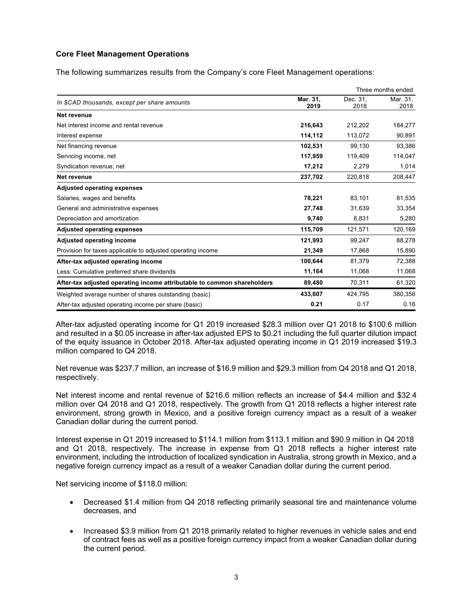# **Core Fleet Management Operations**

The following summarizes results from the Company's core Fleet Management operations:

|                                                                         |                  | Three months ended |                  |
|-------------------------------------------------------------------------|------------------|--------------------|------------------|
| In \$CAD thousands, except per share amounts                            | Mar. 31.<br>2019 | Dec. 31.<br>2018   | Mar. 31,<br>2018 |
| Net revenue                                                             |                  |                    |                  |
| Net interest income and rental revenue                                  | 216,643          | 212,202            | 184,277          |
| Interest expense                                                        | 114,112          | 113,072            | 90,891           |
| Net financing revenue                                                   | 102,531          | 99.130             | 93,386           |
| Servicing income, net                                                   | 117,959          | 119,409            | 114,047          |
| Syndication revenue, net                                                | 17,212           | 2,279              | 1,014            |
| Net revenue                                                             | 237,702          | 220,818            | 208,447          |
| <b>Adjusted operating expenses</b>                                      |                  |                    |                  |
| Salaries, wages and benefits                                            | 78,221           | 83,101             | 81,535           |
| General and administrative expenses                                     | 27,748           | 31,639             | 33,354           |
| Depreciation and amortization                                           | 9,740            | 6,831              | 5,280            |
| <b>Adjusted operating expenses</b>                                      | 115,709          | 121,571            | 120,169          |
| <b>Adjusted operating income</b>                                        | 121,993          | 99,247             | 88,278           |
| Provision for taxes applicable to adjusted operating income             | 21,349           | 17,868             | 15,890           |
| After-tax adjusted operating income                                     | 100,644          | 81,379             | 72,388           |
| Less: Cumulative preferred share dividends                              | 11,164           | 11,068             | 11,068           |
| After-tax adjusted operating income attributable to common shareholders | 89,480           | 70,311             | 61,320           |
| Weighted average number of shares outstanding (basic)                   | 433,607          | 424,795            | 380,356          |
| After-tax adjusted operating income per share (basic)                   | 0.21             | 0.17               | 0.16             |

After-tax adjusted operating income for Q1 2019 increased \$28.3 million over Q1 2018 to \$100.6 million and resulted in a \$0.05 increase in after-tax adjusted EPS to \$0.21 including the full quarter dilution impact of the equity issuance in October 2018. After-tax adjusted operating income in Q1 2019 increased \$19.3 million compared to Q4 2018.

Net revenue was \$237.7 million, an increase of \$16.9 million and \$29.3 million from Q4 2018 and Q1 2018, respectively.

Net interest income and rental revenue of \$216.6 million reflects an increase of \$4.4 million and \$32.4 million over Q4 2018 and Q1 2018, respectively. The growth from Q1 2018 reflects a higher interest rate environment, strong growth in Mexico, and a positive foreign currency impact as a result of a weaker Canadian dollar during the current period.

Interest expense in Q1 2019 increased to \$114.1 million from \$113.1 million and \$90.9 million in Q4 2018 and Q1 2018, respectively. The increase in expense from Q1 2018 reflects a higher interest rate environment, including the introduction of localized syndication in Australia, strong growth in Mexico, and a negative foreign currency impact as a result of a weaker Canadian dollar during the current period.

Net servicing income of \$118.0 million:

- Decreased \$1.4 million from Q4 2018 reflecting primarily seasonal tire and maintenance volume decreases, and
- Increased \$3.9 million from Q1 2018 primarily related to higher revenues in vehicle sales and end of contract fees as well as a positive foreign currency impact from a weaker Canadian dollar during the current period.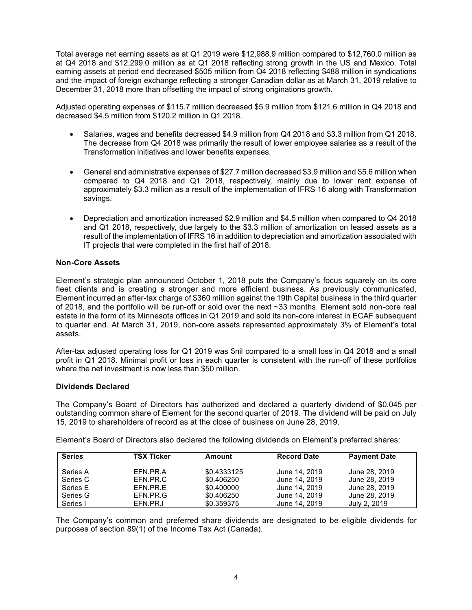Total average net earning assets as at Q1 2019 were \$12,988.9 million compared to \$12,760.0 million as at Q4 2018 and \$12,299.0 million as at Q1 2018 reflecting strong growth in the US and Mexico. Total earning assets at period end decreased \$505 million from Q4 2018 reflecting \$488 million in syndications and the impact of foreign exchange reflecting a stronger Canadian dollar as at March 31, 2019 relative to December 31, 2018 more than offsetting the impact of strong originations growth.

Adjusted operating expenses of \$115.7 million decreased \$5.9 million from \$121.6 million in Q4 2018 and decreased \$4.5 million from \$120.2 million in Q1 2018.

- Salaries, wages and benefits decreased \$4.9 million from Q4 2018 and \$3.3 million from Q1 2018. The decrease from Q4 2018 was primarily the result of lower employee salaries as a result of the Transformation initiatives and lower benefits expenses.
- General and administrative expenses of \$27.7 million decreased \$3.9 million and \$5.6 million when compared to Q4 2018 and Q1 2018, respectively, mainly due to lower rent expense of approximately \$3.3 million as a result of the implementation of IFRS 16 along with Transformation savings.
- Depreciation and amortization increased \$2.9 million and \$4.5 million when compared to Q4 2018 and Q1 2018, respectively, due largely to the \$3.3 million of amortization on leased assets as a result of the implementation of IFRS 16 in addition to depreciation and amortization associated with IT projects that were completed in the first half of 2018.

# **Non-Core Assets**

Element's strategic plan announced October 1, 2018 puts the Company's focus squarely on its core fleet clients and is creating a stronger and more efficient business. As previously communicated, Element incurred an after-tax charge of \$360 million against the 19th Capital business in the third quarter of 2018, and the portfolio will be run-off or sold over the next ~33 months. Element sold non-core real estate in the form of its Minnesota offices in Q1 2019 and sold its non-core interest in ECAF subsequent to quarter end. At March 31, 2019, non-core assets represented approximately 3% of Element's total assets.

After-tax adjusted operating loss for Q1 2019 was \$nil compared to a small loss in Q4 2018 and a small profit in Q1 2018. Minimal profit or loss in each quarter is consistent with the run-off of these portfolios where the net investment is now less than \$50 million.

# **Dividends Declared**

The Company's Board of Directors has authorized and declared a quarterly dividend of \$0.045 per outstanding common share of Element for the second quarter of 2019. The dividend will be paid on July 15, 2019 to shareholders of record as at the close of business on June 28, 2019.

Element's Board of Directors also declared the following dividends on Element's preferred shares:

| <b>Series</b> | <b>TSX Ticker</b> | Amount      | <b>Record Date</b> | <b>Payment Date</b> |
|---------------|-------------------|-------------|--------------------|---------------------|
| Series A      | EFN.PR.A          | \$0.4333125 | June 14, 2019      | June 28, 2019       |
| Series C      | EFN.PR.C          | \$0.406250  | June 14, 2019      | June 28, 2019       |
| Series E      | EFN.PR.E          | \$0.400000  | June 14, 2019      | June 28, 2019       |
| Series G      | EFN.PR.G          | \$0.406250  | June 14, 2019      | June 28, 2019       |
| Series I      | EFN.PR.I          | \$0.359375  | June 14, 2019      | July 2, 2019        |

The Company's common and preferred share dividends are designated to be eligible dividends for purposes of section 89(1) of the Income Tax Act (Canada).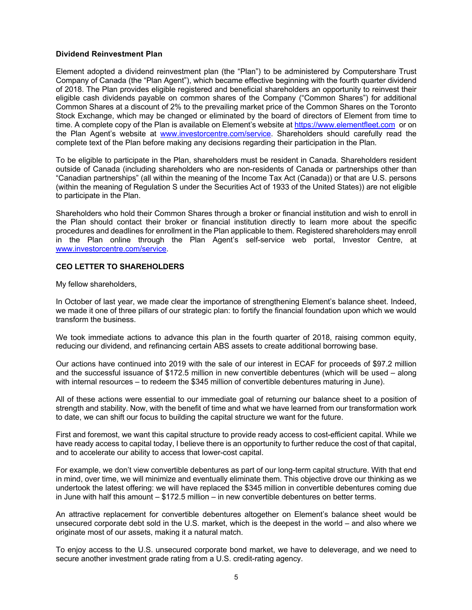# **Dividend Reinvestment Plan**

Element adopted a dividend reinvestment plan (the "Plan") to be administered by Computershare Trust Company of Canada (the "Plan Agent"), which became effective beginning with the fourth quarter dividend of 2018. The Plan provides eligible registered and beneficial shareholders an opportunity to reinvest their eligible cash dividends payable on common shares of the Company ("Common Shares") for additional Common Shares at a discount of 2% to the prevailing market price of the Common Shares on the Toronto Stock Exchange, which may be changed or eliminated by the board of directors of Element from time to time. A complete copy of the Plan is available on Element's website at https://www.elementfleet.com or on the Plan Agent's website at www.investorcentre.com/service. Shareholders should carefully read the complete text of the Plan before making any decisions regarding their participation in the Plan.

To be eligible to participate in the Plan, shareholders must be resident in Canada. Shareholders resident outside of Canada (including shareholders who are non-residents of Canada or partnerships other than "Canadian partnerships" (all within the meaning of the Income Tax Act (Canada)) or that are U.S. persons (within the meaning of Regulation S under the Securities Act of 1933 of the United States)) are not eligible to participate in the Plan.

Shareholders who hold their Common Shares through a broker or financial institution and wish to enroll in the Plan should contact their broker or financial institution directly to learn more about the specific procedures and deadlines for enrollment in the Plan applicable to them. Registered shareholders may enroll in the Plan online through the Plan Agent's self-service web portal, Investor Centre, at www.investorcentre.com/service.

#### **CEO LETTER TO SHAREHOLDERS**

My fellow shareholders,

In October of last year, we made clear the importance of strengthening Element's balance sheet. Indeed, we made it one of three pillars of our strategic plan: to fortify the financial foundation upon which we would transform the business.

We took immediate actions to advance this plan in the fourth quarter of 2018, raising common equity, reducing our dividend, and refinancing certain ABS assets to create additional borrowing base.

Our actions have continued into 2019 with the sale of our interest in ECAF for proceeds of \$97.2 million and the successful issuance of \$172.5 million in new convertible debentures (which will be used – along with internal resources – to redeem the \$345 million of convertible debentures maturing in June).

All of these actions were essential to our immediate goal of returning our balance sheet to a position of strength and stability. Now, with the benefit of time and what we have learned from our transformation work to date, we can shift our focus to building the capital structure we want for the future.

First and foremost, we want this capital structure to provide ready access to cost-efficient capital. While we have ready access to capital today, I believe there is an opportunity to further reduce the cost of that capital, and to accelerate our ability to access that lower-cost capital.

For example, we don't view convertible debentures as part of our long-term capital structure. With that end in mind, over time, we will minimize and eventually eliminate them. This objective drove our thinking as we undertook the latest offering: we will have replaced the \$345 million in convertible debentures coming due in June with half this amount – \$172.5 million – in new convertible debentures on better terms.

An attractive replacement for convertible debentures altogether on Element's balance sheet would be unsecured corporate debt sold in the U.S. market, which is the deepest in the world – and also where we originate most of our assets, making it a natural match.

To enjoy access to the U.S. unsecured corporate bond market, we have to deleverage, and we need to secure another investment grade rating from a U.S. credit-rating agency.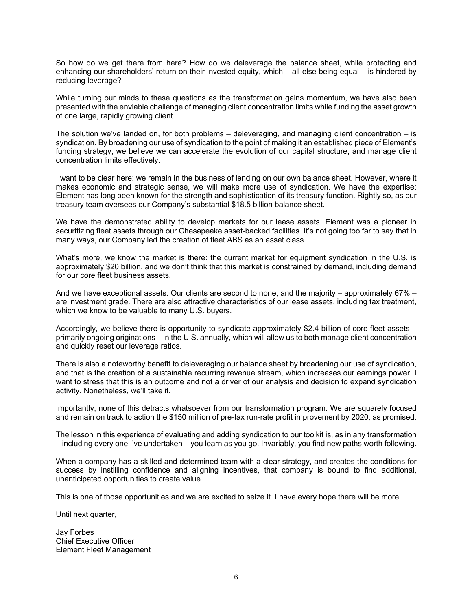So how do we get there from here? How do we deleverage the balance sheet, while protecting and enhancing our shareholders' return on their invested equity, which – all else being equal – is hindered by reducing leverage?

While turning our minds to these questions as the transformation gains momentum, we have also been presented with the enviable challenge of managing client concentration limits while funding the asset growth of one large, rapidly growing client.

The solution we've landed on, for both problems  $-$  deleveraging, and managing client concentration  $-$  is syndication. By broadening our use of syndication to the point of making it an established piece of Element's funding strategy, we believe we can accelerate the evolution of our capital structure, and manage client concentration limits effectively.

I want to be clear here: we remain in the business of lending on our own balance sheet. However, where it makes economic and strategic sense, we will make more use of syndication. We have the expertise: Element has long been known for the strength and sophistication of its treasury function. Rightly so, as our treasury team oversees our Company's substantial \$18.5 billion balance sheet.

We have the demonstrated ability to develop markets for our lease assets. Element was a pioneer in securitizing fleet assets through our Chesapeake asset-backed facilities. It's not going too far to say that in many ways, our Company led the creation of fleet ABS as an asset class.

What's more, we know the market is there: the current market for equipment syndication in the U.S. is approximately \$20 billion, and we don't think that this market is constrained by demand, including demand for our core fleet business assets.

And we have exceptional assets: Our clients are second to none, and the majority – approximately 67% – are investment grade. There are also attractive characteristics of our lease assets, including tax treatment, which we know to be valuable to many U.S. buyers.

Accordingly, we believe there is opportunity to syndicate approximately \$2.4 billion of core fleet assets – primarily ongoing originations – in the U.S. annually, which will allow us to both manage client concentration and quickly reset our leverage ratios.

There is also a noteworthy benefit to deleveraging our balance sheet by broadening our use of syndication, and that is the creation of a sustainable recurring revenue stream, which increases our earnings power. I want to stress that this is an outcome and not a driver of our analysis and decision to expand syndication activity. Nonetheless, we'll take it.

Importantly, none of this detracts whatsoever from our transformation program. We are squarely focused and remain on track to action the \$150 million of pre-tax run-rate profit improvement by 2020, as promised.

The lesson in this experience of evaluating and adding syndication to our toolkit is, as in any transformation – including every one I've undertaken – you learn as you go. Invariably, you find new paths worth following.

When a company has a skilled and determined team with a clear strategy, and creates the conditions for success by instilling confidence and aligning incentives, that company is bound to find additional, unanticipated opportunities to create value.

This is one of those opportunities and we are excited to seize it. I have every hope there will be more.

Until next quarter,

Jay Forbes Chief Executive Officer Element Fleet Management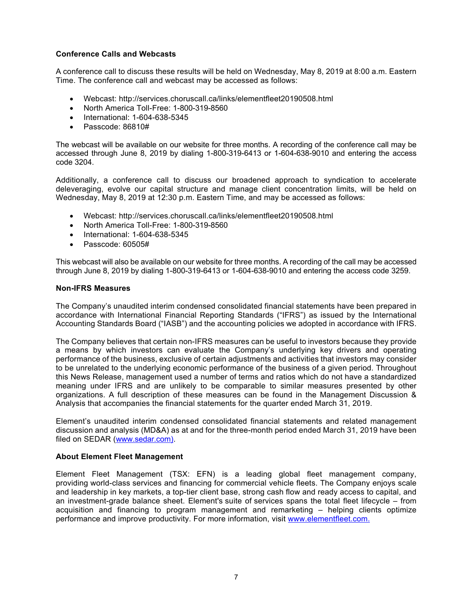# **Conference Calls and Webcasts**

A conference call to discuss these results will be held on Wednesday, May 8, 2019 at 8:00 a.m. Eastern Time. The conference call and webcast may be accessed as follows:

- Webcast: http://services.choruscall.ca/links/elementfleet20190508.html
- North America Toll-Free: 1-800-319-8560
- International: 1-604-638-5345
- Passcode: 86810#

The webcast will be available on our website for three months. A recording of the conference call may be accessed through June 8, 2019 by dialing 1-800-319-6413 or 1-604-638-9010 and entering the access code 3204.

Additionally, a conference call to discuss our broadened approach to syndication to accelerate deleveraging, evolve our capital structure and manage client concentration limits, will be held on Wednesday, May 8, 2019 at 12:30 p.m. Eastern Time, and may be accessed as follows:

- Webcast: http://services.choruscall.ca/links/elementfleet20190508.html
- North America Toll-Free: 1-800-319-8560
- International: 1-604-638-5345
- Passcode: 60505#

This webcast will also be available on our website for three months. A recording of the call may be accessed through June 8, 2019 by dialing 1-800-319-6413 or 1-604-638-9010 and entering the access code 3259.

# **Non-IFRS Measures**

The Company's unaudited interim condensed consolidated financial statements have been prepared in accordance with International Financial Reporting Standards ("IFRS") as issued by the International Accounting Standards Board ("IASB") and the accounting policies we adopted in accordance with IFRS.

The Company believes that certain non-IFRS measures can be useful to investors because they provide a means by which investors can evaluate the Company's underlying key drivers and operating performance of the business, exclusive of certain adjustments and activities that investors may consider to be unrelated to the underlying economic performance of the business of a given period. Throughout this News Release, management used a number of terms and ratios which do not have a standardized meaning under IFRS and are unlikely to be comparable to similar measures presented by other organizations. A full description of these measures can be found in the Management Discussion & Analysis that accompanies the financial statements for the quarter ended March 31, 2019.

Element's unaudited interim condensed consolidated financial statements and related management discussion and analysis (MD&A) as at and for the three-month period ended March 31, 2019 have been filed on SEDAR (www.sedar.com).

# **About Element Fleet Management**

Element Fleet Management (TSX: EFN) is a leading global fleet management company, providing world-class services and financing for commercial vehicle fleets. The Company enjoys scale and leadership in key markets, a top-tier client base, strong cash flow and ready access to capital, and an investment-grade balance sheet. Element's suite of services spans the total fleet lifecycle – from acquisition and financing to program management and remarketing – helping clients optimize performance and improve productivity. For more information, visit www.elementfleet.com.